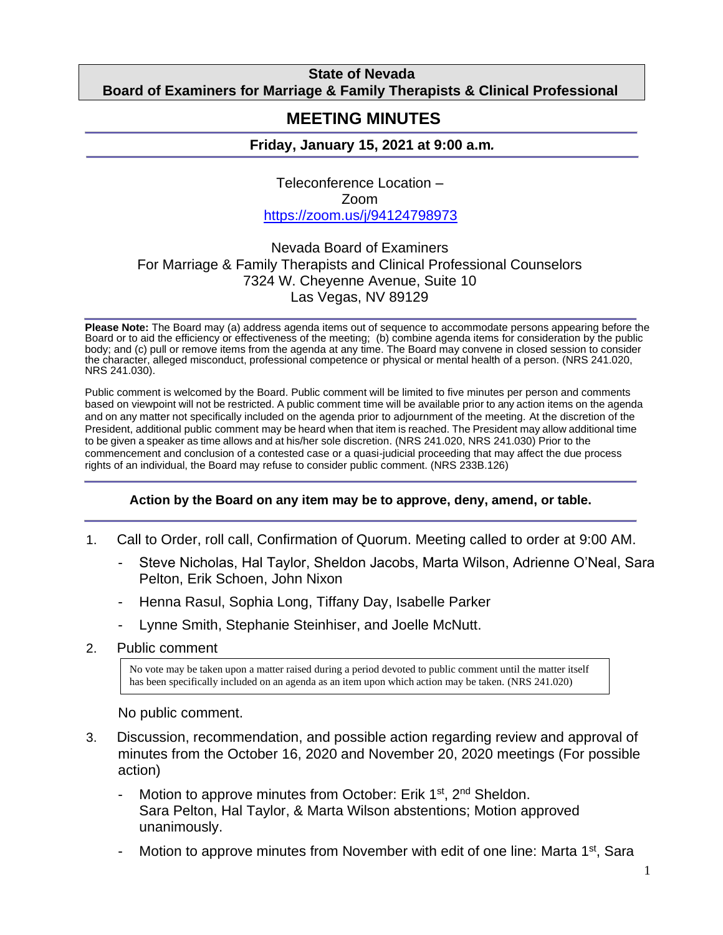## **State of Nevada Board of Examiners for Marriage & Family Therapists & Clinical Professional**

#### **Counselors MEETING MINUTES**

# **Friday, January 15, 2021 at 9:00 a.m***.*

Teleconference Location – Zoom <https://zoom.us/j/94124798973>

# Nevada Board of Examiners For Marriage & Family Therapists and Clinical Professional Counselors 7324 W. Cheyenne Avenue, Suite 10 Las Vegas, NV 89129

**Please Note:** The Board may (a) address agenda items out of sequence to accommodate persons appearing before the Board or to aid the efficiency or effectiveness of the meeting; (b) combine agenda items for consideration by the public body; and (c) pull or remove items from the agenda at any time. The Board may convene in closed session to consider the character, alleged misconduct, professional competence or physical or mental health of a person. (NRS 241.020, NRS 241.030).

Public comment is welcomed by the Board. Public comment will be limited to five minutes per person and comments based on viewpoint will not be restricted. A public comment time will be available prior to any action items on the agenda and on any matter not specifically included on the agenda prior to adjournment of the meeting. At the discretion of the President, additional public comment may be heard when that item is reached. The President may allow additional time to be given a speaker as time allows and at his/her sole discretion. (NRS 241.020, NRS 241.030) Prior to the commencement and conclusion of a contested case or a quasi-judicial proceeding that may affect the due process rights of an individual, the Board may refuse to consider public comment. (NRS 233B.126)

### **Action by the Board on any item may be to approve, deny, amend, or table.**

- 1. Call to Order, roll call, Confirmation of Quorum. Meeting called to order at 9:00 AM.
	- Steve Nicholas, Hal Taylor, Sheldon Jacobs, Marta Wilson, Adrienne O'Neal, Sara Pelton, Erik Schoen, John Nixon
	- Henna Rasul, Sophia Long, Tiffany Day, Isabelle Parker
	- Lynne Smith, Stephanie Steinhiser, and Joelle McNutt.
- 2. Public comment

No vote may be taken upon a matter raised during a period devoted to public comment until the matter itself has been specifically included on an agenda as an item upon which action may be taken. (NRS 241.020)

### No public comment.

- 3. Discussion, recommendation, and possible action regarding review and approval of minutes from the October 16, 2020 and November 20, 2020 meetings (For possible action)
	- Motion to approve minutes from October: Erik 1<sup>st</sup>, 2<sup>nd</sup> Sheldon. Sara Pelton, Hal Taylor, & Marta Wilson abstentions; Motion approved unanimously.
	- Motion to approve minutes from November with edit of one line: Marta 1<sup>st</sup>, Sara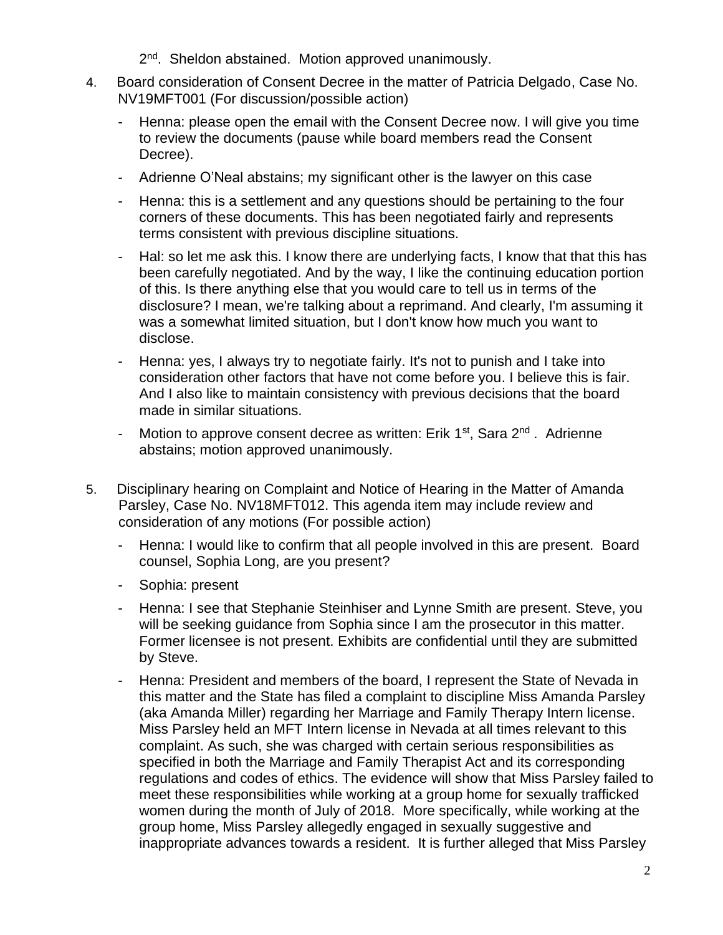- 2<sup>nd</sup>. Sheldon abstained. Motion approved unanimously.
- 4. Board consideration of Consent Decree in the matter of Patricia Delgado, Case No. NV19MFT001 (For discussion/possible action)
	- Henna: please open the email with the Consent Decree now. I will give you time to review the documents (pause while board members read the Consent Decree).
	- Adrienne O'Neal abstains; my significant other is the lawyer on this case
	- Henna: this is a settlement and any questions should be pertaining to the four corners of these documents. This has been negotiated fairly and represents terms consistent with previous discipline situations.
	- Hal: so let me ask this. I know there are underlying facts, I know that that this has been carefully negotiated. And by the way, I like the continuing education portion of this. Is there anything else that you would care to tell us in terms of the disclosure? I mean, we're talking about a reprimand. And clearly, I'm assuming it was a somewhat limited situation, but I don't know how much you want to disclose.
	- Henna: yes, I always try to negotiate fairly. It's not to punish and I take into consideration other factors that have not come before you. I believe this is fair. And I also like to maintain consistency with previous decisions that the board made in similar situations.
	- Motion to approve consent decree as written: Erik 1<sup>st</sup>, Sara 2<sup>nd</sup>. Adrienne abstains; motion approved unanimously.
- 5. Disciplinary hearing on Complaint and Notice of Hearing in the Matter of Amanda Parsley, Case No. NV18MFT012. This agenda item may include review and consideration of any motions (For possible action)
	- Henna: I would like to confirm that all people involved in this are present. Board counsel, Sophia Long, are you present?
	- Sophia: present
	- Henna: I see that Stephanie Steinhiser and Lynne Smith are present. Steve, you will be seeking guidance from Sophia since I am the prosecutor in this matter. Former licensee is not present. Exhibits are confidential until they are submitted by Steve.
	- Henna: President and members of the board, I represent the State of Nevada in this matter and the State has filed a complaint to discipline Miss Amanda Parsley (aka Amanda Miller) regarding her Marriage and Family Therapy Intern license. Miss Parsley held an MFT Intern license in Nevada at all times relevant to this complaint. As such, she was charged with certain serious responsibilities as specified in both the Marriage and Family Therapist Act and its corresponding regulations and codes of ethics. The evidence will show that Miss Parsley failed to meet these responsibilities while working at a group home for sexually trafficked women during the month of July of 2018. More specifically, while working at the group home, Miss Parsley allegedly engaged in sexually suggestive and inappropriate advances towards a resident. It is further alleged that Miss Parsley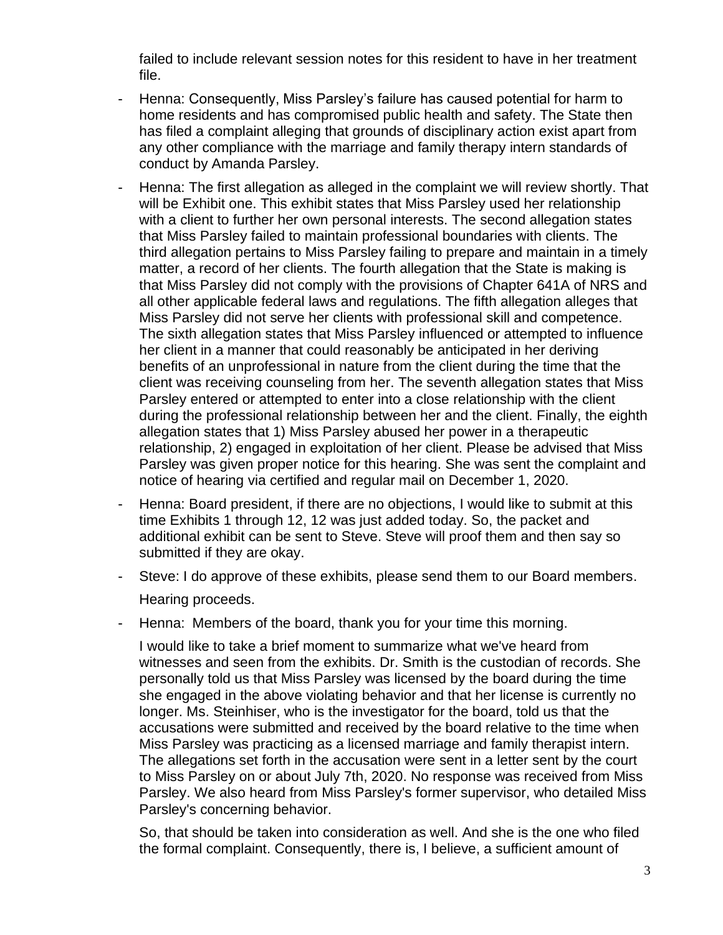failed to include relevant session notes for this resident to have in her treatment file.

- Henna: Consequently, Miss Parsley's failure has caused potential for harm to home residents and has compromised public health and safety. The State then has filed a complaint alleging that grounds of disciplinary action exist apart from any other compliance with the marriage and family therapy intern standards of conduct by Amanda Parsley.
- Henna: The first allegation as alleged in the complaint we will review shortly. That will be Exhibit one. This exhibit states that Miss Parsley used her relationship with a client to further her own personal interests. The second allegation states that Miss Parsley failed to maintain professional boundaries with clients. The third allegation pertains to Miss Parsley failing to prepare and maintain in a timely matter, a record of her clients. The fourth allegation that the State is making is that Miss Parsley did not comply with the provisions of Chapter 641A of NRS and all other applicable federal laws and regulations. The fifth allegation alleges that Miss Parsley did not serve her clients with professional skill and competence. The sixth allegation states that Miss Parsley influenced or attempted to influence her client in a manner that could reasonably be anticipated in her deriving benefits of an unprofessional in nature from the client during the time that the client was receiving counseling from her. The seventh allegation states that Miss Parsley entered or attempted to enter into a close relationship with the client during the professional relationship between her and the client. Finally, the eighth allegation states that 1) Miss Parsley abused her power in a therapeutic relationship, 2) engaged in exploitation of her client. Please be advised that Miss Parsley was given proper notice for this hearing. She was sent the complaint and notice of hearing via certified and regular mail on December 1, 2020.
- Henna: Board president, if there are no objections, I would like to submit at this time Exhibits 1 through 12, 12 was just added today. So, the packet and additional exhibit can be sent to Steve. Steve will proof them and then say so submitted if they are okay.
- Steve: I do approve of these exhibits, please send them to our Board members. Hearing proceeds.
- Henna: Members of the board, thank you for your time this morning.

I would like to take a brief moment to summarize what we've heard from witnesses and seen from the exhibits. Dr. Smith is the custodian of records. She personally told us that Miss Parsley was licensed by the board during the time she engaged in the above violating behavior and that her license is currently no longer. Ms. Steinhiser, who is the investigator for the board, told us that the accusations were submitted and received by the board relative to the time when Miss Parsley was practicing as a licensed marriage and family therapist intern. The allegations set forth in the accusation were sent in a letter sent by the court to Miss Parsley on or about July 7th, 2020. No response was received from Miss Parsley. We also heard from Miss Parsley's former supervisor, who detailed Miss Parsley's concerning behavior.

So, that should be taken into consideration as well. And she is the one who filed the formal complaint. Consequently, there is, I believe, a sufficient amount of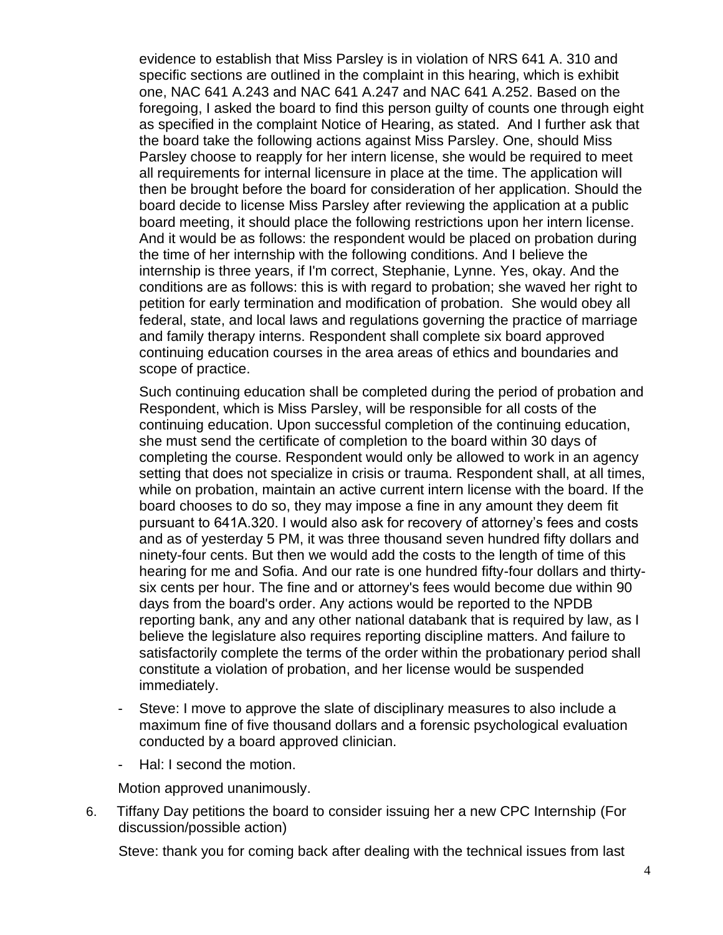evidence to establish that Miss Parsley is in violation of NRS 641 A. 310 and specific sections are outlined in the complaint in this hearing, which is exhibit one, NAC 641 A.243 and NAC 641 A.247 and NAC 641 A.252. Based on the foregoing, I asked the board to find this person guilty of counts one through eight as specified in the complaint Notice of Hearing, as stated. And I further ask that the board take the following actions against Miss Parsley. One, should Miss Parsley choose to reapply for her intern license, she would be required to meet all requirements for internal licensure in place at the time. The application will then be brought before the board for consideration of her application. Should the board decide to license Miss Parsley after reviewing the application at a public board meeting, it should place the following restrictions upon her intern license. And it would be as follows: the respondent would be placed on probation during the time of her internship with the following conditions. And I believe the internship is three years, if I'm correct, Stephanie, Lynne. Yes, okay. And the conditions are as follows: this is with regard to probation; she waved her right to petition for early termination and modification of probation. She would obey all federal, state, and local laws and regulations governing the practice of marriage and family therapy interns. Respondent shall complete six board approved continuing education courses in the area areas of ethics and boundaries and scope of practice.

Such continuing education shall be completed during the period of probation and Respondent, which is Miss Parsley, will be responsible for all costs of the continuing education. Upon successful completion of the continuing education, she must send the certificate of completion to the board within 30 days of completing the course. Respondent would only be allowed to work in an agency setting that does not specialize in crisis or trauma. Respondent shall, at all times, while on probation, maintain an active current intern license with the board. If the board chooses to do so, they may impose a fine in any amount they deem fit pursuant to 641A.320. I would also ask for recovery of attorney's fees and costs and as of yesterday 5 PM, it was three thousand seven hundred fifty dollars and ninety-four cents. But then we would add the costs to the length of time of this hearing for me and Sofia. And our rate is one hundred fifty-four dollars and thirtysix cents per hour. The fine and or attorney's fees would become due within 90 days from the board's order. Any actions would be reported to the NPDB reporting bank, any and any other national databank that is required by law, as I believe the legislature also requires reporting discipline matters. And failure to satisfactorily complete the terms of the order within the probationary period shall constitute a violation of probation, and her license would be suspended immediately.

- Steve: I move to approve the slate of disciplinary measures to also include a maximum fine of five thousand dollars and a forensic psychological evaluation conducted by a board approved clinician.
- Hal: I second the motion.

Motion approved unanimously.

6. Tiffany Day petitions the board to consider issuing her a new CPC Internship (For discussion/possible action)

Steve: thank you for coming back after dealing with the technical issues from last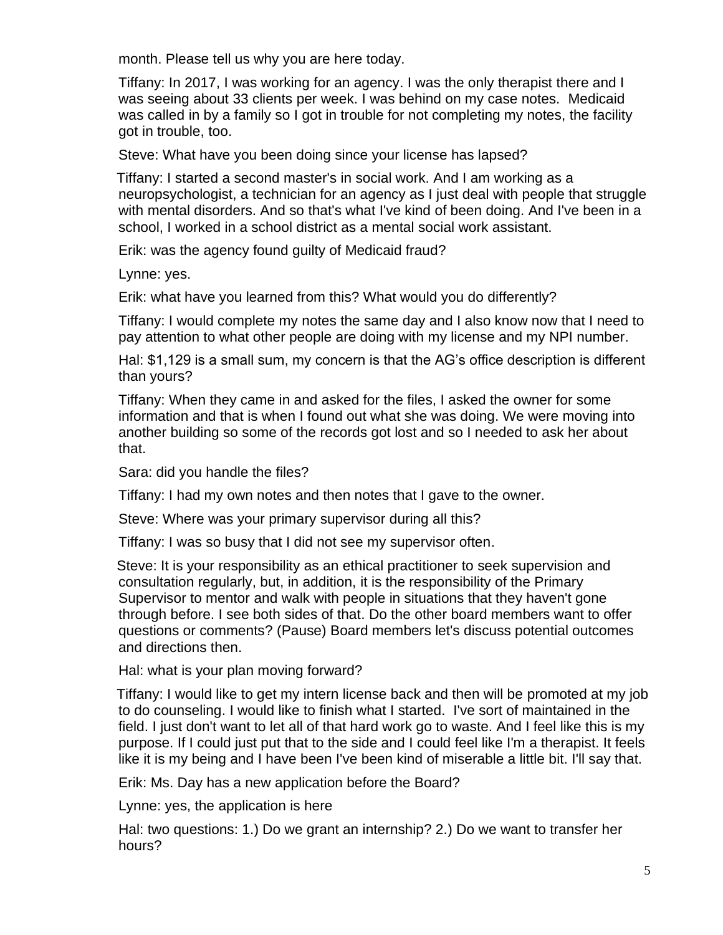month. Please tell us why you are here today.

Tiffany: In 2017, I was working for an agency. I was the only therapist there and I was seeing about 33 clients per week. I was behind on my case notes. Medicaid was called in by a family so I got in trouble for not completing my notes, the facility got in trouble, too.

Steve: What have you been doing since your license has lapsed?

Tiffany: I started a second master's in social work. And I am working as a neuropsychologist, a technician for an agency as I just deal with people that struggle with mental disorders. And so that's what I've kind of been doing. And I've been in a school, I worked in a school district as a mental social work assistant.

Erik: was the agency found guilty of Medicaid fraud?

Lynne: yes.

Erik: what have you learned from this? What would you do differently?

Tiffany: I would complete my notes the same day and I also know now that I need to pay attention to what other people are doing with my license and my NPI number.

Hal: \$1,129 is a small sum, my concern is that the AG's office description is different than yours?

Tiffany: When they came in and asked for the files, I asked the owner for some information and that is when I found out what she was doing. We were moving into another building so some of the records got lost and so I needed to ask her about that.

Sara: did you handle the files?

Tiffany: I had my own notes and then notes that I gave to the owner.

Steve: Where was your primary supervisor during all this?

Tiffany: I was so busy that I did not see my supervisor often.

Steve: It is your responsibility as an ethical practitioner to seek supervision and consultation regularly, but, in addition, it is the responsibility of the Primary Supervisor to mentor and walk with people in situations that they haven't gone through before. I see both sides of that. Do the other board members want to offer questions or comments? (Pause) Board members let's discuss potential outcomes and directions then.

Hal: what is your plan moving forward?

Tiffany: I would like to get my intern license back and then will be promoted at my job to do counseling. I would like to finish what I started. I've sort of maintained in the field. I just don't want to let all of that hard work go to waste. And I feel like this is my purpose. If I could just put that to the side and I could feel like I'm a therapist. It feels like it is my being and I have been I've been kind of miserable a little bit. I'll say that.

Erik: Ms. Day has a new application before the Board?

Lynne: yes, the application is here

Hal: two questions: 1.) Do we grant an internship? 2.) Do we want to transfer her hours?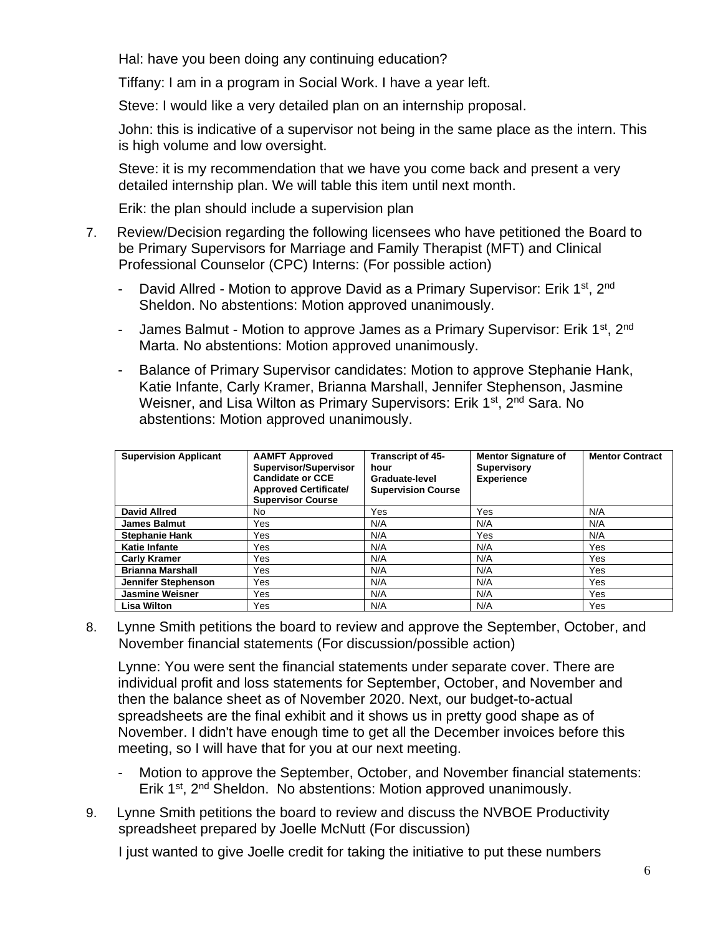Hal: have you been doing any continuing education?

Tiffany: I am in a program in Social Work. I have a year left.

Steve: I would like a very detailed plan on an internship proposal.

John: this is indicative of a supervisor not being in the same place as the intern. This is high volume and low oversight.

Steve: it is my recommendation that we have you come back and present a very detailed internship plan. We will table this item until next month.

Erik: the plan should include a supervision plan

- 7. Review/Decision regarding the following licensees who have petitioned the Board to be Primary Supervisors for Marriage and Family Therapist (MFT) and Clinical Professional Counselor (CPC) Interns: (For possible action)
	- David Allred Motion to approve David as a Primary Supervisor: Erik 1<sup>st</sup>, 2<sup>nd</sup> Sheldon. No abstentions: Motion approved unanimously.
	- James Balmut Motion to approve James as a Primary Supervisor: Erik 1<sup>st</sup>, 2<sup>nd</sup> Marta. No abstentions: Motion approved unanimously.
	- Balance of Primary Supervisor candidates: Motion to approve Stephanie Hank, Katie Infante, Carly Kramer, Brianna Marshall, Jennifer Stephenson, Jasmine Weisner, and Lisa Wilton as Primary Supervisors: Erik 1<sup>st</sup>, 2<sup>nd</sup> Sara. No abstentions: Motion approved unanimously.

| <b>Supervision Applicant</b> | <b>AAMFT Approved</b><br>Supervisor/Supervisor<br><b>Candidate or CCE</b><br><b>Approved Certificate/</b><br><b>Supervisor Course</b> | Transcript of 45-<br>hour<br>Graduate-level<br><b>Supervision Course</b> | <b>Mentor Signature of</b><br><b>Supervisory</b><br><b>Experience</b> | <b>Mentor Contract</b> |
|------------------------------|---------------------------------------------------------------------------------------------------------------------------------------|--------------------------------------------------------------------------|-----------------------------------------------------------------------|------------------------|
| <b>David Allred</b>          | No.                                                                                                                                   | Yes                                                                      | Yes                                                                   | N/A                    |
| <b>James Balmut</b>          | Yes                                                                                                                                   | N/A                                                                      | N/A                                                                   | N/A                    |
| <b>Stephanie Hank</b>        | Yes                                                                                                                                   | N/A                                                                      | Yes                                                                   | N/A                    |
| <b>Katie Infante</b>         | Yes                                                                                                                                   | N/A                                                                      | N/A                                                                   | Yes                    |
| <b>Carly Kramer</b>          | Yes                                                                                                                                   | N/A                                                                      | N/A                                                                   | <b>Yes</b>             |
| <b>Brianna Marshall</b>      | Yes                                                                                                                                   | N/A                                                                      | N/A                                                                   | Yes.                   |
| Jennifer Stephenson          | <b>Yes</b>                                                                                                                            | N/A                                                                      | N/A                                                                   | Yes                    |
| <b>Jasmine Weisner</b>       | Yes                                                                                                                                   | N/A                                                                      | N/A                                                                   | <b>Yes</b>             |
| <b>Lisa Wilton</b>           | Yes                                                                                                                                   | N/A                                                                      | N/A                                                                   | Yes                    |

8. Lynne Smith petitions the board to review and approve the September, October, and November financial statements (For discussion/possible action)

Lynne: You were sent the financial statements under separate cover. There are individual profit and loss statements for September, October, and November and then the balance sheet as of November 2020. Next, our budget-to-actual spreadsheets are the final exhibit and it shows us in pretty good shape as of November. I didn't have enough time to get all the December invoices before this meeting, so I will have that for you at our next meeting.

- Motion to approve the September, October, and November financial statements: Erik 1<sup>st</sup>, 2<sup>nd</sup> Sheldon. No abstentions: Motion approved unanimously.
- 9. Lynne Smith petitions the board to review and discuss the NVBOE Productivity spreadsheet prepared by Joelle McNutt (For discussion)

I just wanted to give Joelle credit for taking the initiative to put these numbers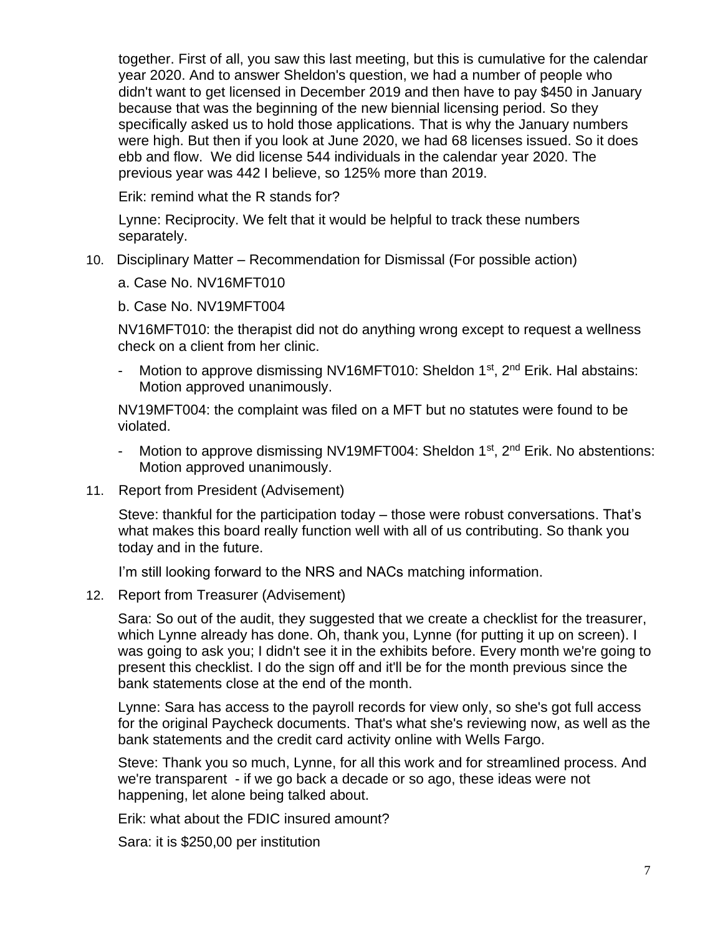together. First of all, you saw this last meeting, but this is cumulative for the calendar year 2020. And to answer Sheldon's question, we had a number of people who didn't want to get licensed in December 2019 and then have to pay \$450 in January because that was the beginning of the new biennial licensing period. So they specifically asked us to hold those applications. That is why the January numbers were high. But then if you look at June 2020, we had 68 licenses issued. So it does ebb and flow. We did license 544 individuals in the calendar year 2020. The previous year was 442 I believe, so 125% more than 2019.

Erik: remind what the R stands for?

Lynne: Reciprocity. We felt that it would be helpful to track these numbers separately.

- 10. Disciplinary Matter Recommendation for Dismissal (For possible action)
	- a. Case No. NV16MFT010
	- b. Case No. NV19MFT004

NV16MFT010: the therapist did not do anything wrong except to request a wellness check on a client from her clinic.

- Motion to approve dismissing NV16MFT010: Sheldon  $1<sup>st</sup>$ ,  $2<sup>nd</sup>$  Erik. Hal abstains: Motion approved unanimously.

NV19MFT004: the complaint was filed on a MFT but no statutes were found to be violated.

- Motion to approve dismissing NV19MFT004: Sheldon 1<sup>st</sup>, 2<sup>nd</sup> Erik. No abstentions: Motion approved unanimously.
- 11. Report from President (Advisement)

Steve: thankful for the participation today – those were robust conversations. That's what makes this board really function well with all of us contributing. So thank you today and in the future.

I'm still looking forward to the NRS and NACs matching information.

12. Report from Treasurer (Advisement)

Sara: So out of the audit, they suggested that we create a checklist for the treasurer, which Lynne already has done. Oh, thank you, Lynne (for putting it up on screen). I was going to ask you; I didn't see it in the exhibits before. Every month we're going to present this checklist. I do the sign off and it'll be for the month previous since the bank statements close at the end of the month.

Lynne: Sara has access to the payroll records for view only, so she's got full access for the original Paycheck documents. That's what she's reviewing now, as well as the bank statements and the credit card activity online with Wells Fargo.

Steve: Thank you so much, Lynne, for all this work and for streamlined process. And we're transparent - if we go back a decade or so ago, these ideas were not happening, let alone being talked about.

Erik: what about the FDIC insured amount?

Sara: it is \$250,00 per institution